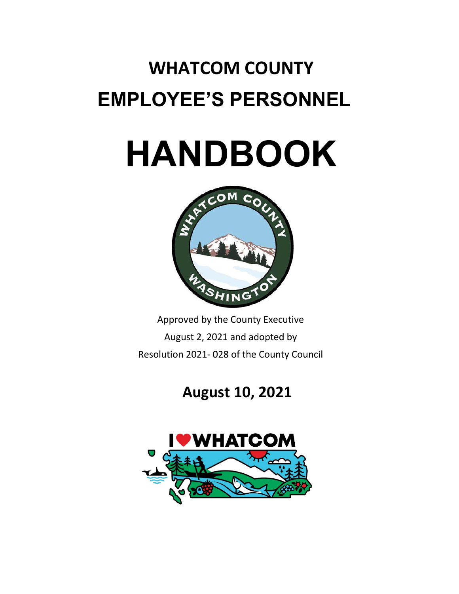# **WHATCOM COUNTY EMPLOYEE'S PERSONNEL**

# **HANDBOOK**



Approved by the County Executive August 2, 2021 and adopted by Resolution 2021- 028 of the County Council

## **August 10, 2021**

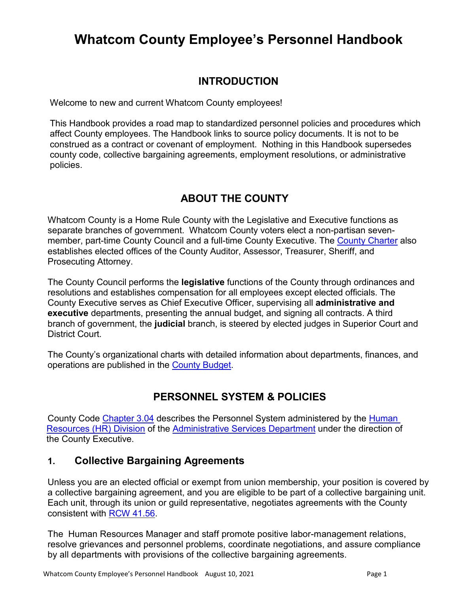### **Whatcom County Employee's Personnel Handbook**

#### **INTRODUCTION**

Welcome to new and current Whatcom County employees!

This Handbook provides a road map to standardized personnel policies and procedures which affect County employees. The Handbook links to source policy documents. It is not to be construed as a contract or covenant of employment. Nothing in this Handbook supersedes county code, collective bargaining agreements, employment resolutions, or administrative policies.

#### **ABOUT THE COUNTY**

Whatcom County is a Home Rule County with the Legislative and Executive functions as separate branches of government. Whatcom County voters elect a non-partisan seven-member, part-time County Council and a full-time County Executive. The [County Charter](http://www.codepublishing.com/WA/WhatcomCountyCH/) also establishes elected offices of the County Auditor, Assessor, Treasurer, Sheriff, and Prosecuting Attorney.

The County Council performs the **legislative** functions of the County through ordinances and resolutions and establishes compensation for all employees except elected officials. The County Executive serves as Chief Executive Officer, supervising all **administrative and executive** departments, presenting the annual budget, and signing all contracts. A third branch of government, the **judicial** branch, is steered by elected judges in Superior Court and District Court.

The County's organizational charts with detailed information about departments, finances, and operations are published in the [County Budget.](http://www.whatcomcounty.us/2892/Budget)

#### **PERSONNEL SYSTEM & POLICIES**

County Code [Chapter 3.04](https://www.codepublishing.com/WA/WhatcomCounty/#!/WhatcomCounty03/WhatcomCounty0304.html) describes the Personnel System administered by the [Human](http://wa-whatcomcountyintranet.civicplus.com/529/Human-Resources)  [Resources \(HR\) Division](http://wa-whatcomcountyintranet.civicplus.com/529/Human-Resources) of the [Administrative Services Department](https://www.codepublishing.com/WA/WhatcomCounty/#!/WhatcomCounty02/WhatcomCounty0276.html) under the direction of the County Executive.

#### **1. Collective Bargaining Agreements**

Unless you are an elected official or exempt from union membership, your position is covered by a collective bargaining agreement, and you are eligible to be part of a collective bargaining unit. Each unit, through its union or guild representative, negotiates agreements with the County consistent with [RCW 41.56.](https://app.leg.wa.gov/RCW/default.aspx?cite=41.56)

The Human Resources Manager and staff promote positive labor-management relations, resolve grievances and personnel problems, coordinate negotiations, and assure compliance by all departments with provisions of the collective bargaining agreements.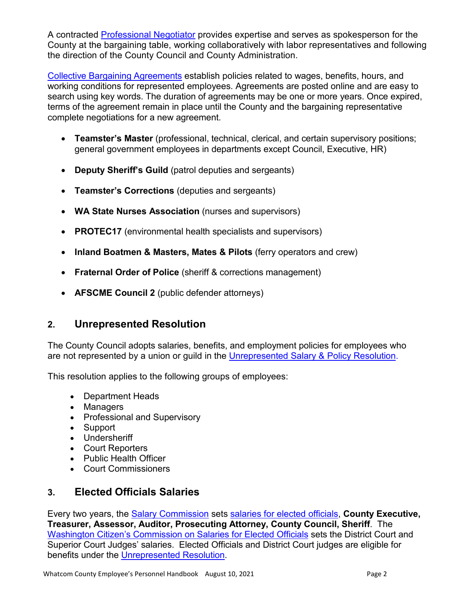A contracted [Professional Negotiator](https://www.codepublishing.com/WA/WhatcomCounty/#!/WhatcomCounty02/WhatcomCounty0208.html) provides expertise and serves as spokesperson for the County at the bargaining table, working collaboratively with labor representatives and following the direction of the County Council and County Administration.

[Collective Bargaining Agreements](http://documents.whatcomcounty.us/weblink8/CustomSearch.aspx?SearchName=BargainingAgreements&dbid=0) establish policies related to wages, benefits, hours, and working conditions for represented employees. Agreements are posted online and are easy to search using key words. The duration of agreements may be one or more years. Once expired, terms of the agreement remain in place until the County and the bargaining representative complete negotiations for a new agreement.

- **Teamster's Master** (professional, technical, clerical, and certain supervisory positions; general government employees in departments except Council, Executive, HR)
- **Deputy Sheriff's Guild** (patrol deputies and sergeants)
- **Teamster's Corrections** (deputies and sergeants)
- **WA State Nurses Association** (nurses and supervisors)
- **PROTEC17** (environmental health specialists and supervisors)
- **Inland Boatmen & Masters, Mates & Pilots** (ferry operators and crew)
- **Fraternal Order of Police** (sheriff & corrections management)
- **AFSCME Council 2** (public defender attorneys)

#### **2. Unrepresented Resolution**

The County Council adopts salaries, benefits, and employment policies for employees who are not represented by a union or guild in the [Unrepresented Salary & Policy Resolution.](http://www.whatcomcounty.us/167/Employment-Resolutions)

This resolution applies to the following groups of employees:

- Department Heads
- Managers
- Professional and Supervisory
- Support
- Undersheriff
- Court Reporters
- Public Health Officer
- Court Commissioners

#### **3. Elected Officials Salaries**

Every two years, the [Salary Commission](https://www.codepublishing.com/WA/WhatcomCounty/#!/WhatcomCounty02/WhatcomCounty0222.html) sets [salaries for elected officials,](http://www.whatcomcounty.us/DocumentCenter/View/41028/2019-Elected-Officials-Salary-Schedule-for-2020-and-2021) **County Executive, Treasurer, Assessor, Auditor, Prosecuting Attorney, County Council, Sheriff**. The [Washington Citizen's Commission on Salaries for Elected Officials](https://salaries.wa.gov/salary) sets the District Court and Superior Court Judges' salaries. Elected Officials and District Court judges are eligible for benefits under the [Unrepresented Resolution.](https://www.whatcomcounty.us/167/Employment-Resolutions)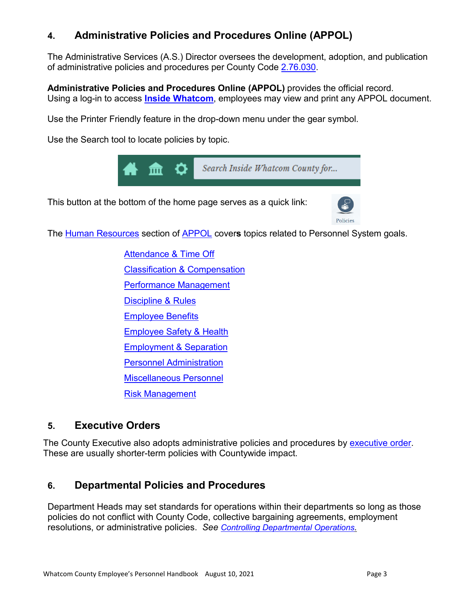#### **4. Administrative Policies and Procedures Online (APPOL)**

The Administrative Services (A.S.) Director oversees the development, adoption, and publication of administrative policies and procedures per County Code [2.76.030.](https://www.codepublishing.com/WA/WhatcomCounty/#!/WhatcomCounty02/WhatcomCounty0276.html)

**Administrative Policies and Procedures Online (APPOL)** provides the official record. Using a log-in to access **[Inside Whatcom](https://wa-whatcomcountyintranet.civicplus.com/)**, employees may view and print any APPOL document.

Use the Printer Friendly feature in the drop-down menu under the gear symbol.

Use the Search tool to locate policies by topic.



This button at the bottom of the home page serves as a quick link:



The [Human Resources](http://wa-whatcomcountyintranet.civicplus.com/217/Human-Resources) section of [APPOL](http://wa-whatcomcountyintranet.civicplus.com/148/APPOL-Administrative-Policies-Procedures) cover**s** topics related to Personnel System goals.

[Attendance & Time Off](http://wa-whatcomcountyintranet.civicplus.com/222/Attendance-Time-Off) [Classification & Compensation](http://wa-whatcomcountyintranet.civicplus.com/232/Classification-Compensation) [Performance Management](http://wa-whatcomcountyintranet.civicplus.com/250/Performance-Management) [Discipline & Rules](http://wa-whatcomcountyintranet.civicplus.com/235/Discipline-Rules) [Employee Benefits](http://wa-whatcomcountyintranet.civicplus.com/224/Employee-Benefits) [Employee Safety & Health](http://wa-whatcomcountyintranet.civicplus.com/253/Employee-Safety-Health) [Employment & Separation](http://wa-whatcomcountyintranet.civicplus.com/238/Employment-Separation) [Personnel Administration](http://wa-whatcomcountyintranet.civicplus.com/218/Personnel-Administration) [Miscellaneous Personnel](http://wa-whatcomcountyintranet.civicplus.com/248/Miscellaneous-Personnel) [Risk Management](http://wa-whatcomcountyintranet.civicplus.com/206/Risk-Management)

#### **5. Executive Orders**

The County Executive also adopts administrative policies and procedures by [executive order.](https://www.whatcomcounty.us/3199/Executive-Orders-Current) These are usually shorter-term policies with Countywide impact.

#### **6. Departmental Policies and Procedures**

Department Heads may set standards for operations within their departments so long as those policies do not conflict with County Code, collective bargaining agreements, employment resolutions, or administrative policies. *See [Controlling Departmental Operations.](http://wa-whatcomcountyintranet.civicplus.com/189/Controlling-Departmental-Operations---AD)*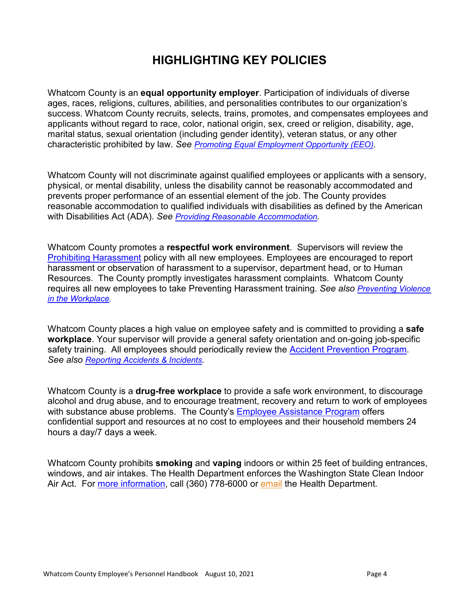#### **HIGHLIGHTING KEY POLICIES**

Whatcom County is an **equal opportunity employer**. Participation of individuals of diverse ages, races, religions, cultures, abilities, and personalities contributes to our organization's success. Whatcom County recruits, selects, trains, promotes, and compensates employees and applicants without regard to race, color, national origin, sex, creed or religion, disability, age, marital status, sexual orientation (including gender identity), veteran status, or any other characteristic prohibited by law. *See [Promoting Equal Employment Opportunity \(EEO\).](http://wa-whatcomcountyintranet.civicplus.com/1095/Promoting-Equal-Employment-Opportunity-E)*

Whatcom County will not discriminate against qualified employees or applicants with a sensory, physical, or mental disability, unless the disability cannot be reasonably accommodated and prevents proper performance of an essential element of the job. The County provides reasonable accommodation to qualified individuals with disabilities as defined by the American with Disabilities Act (ADA). *See [Providing Reasonable Accommodation.](http://wa-whatcomcountyintranet.civicplus.com/239/Providing-Reasonable-Accommodation)*

Whatcom County promotes a **respectful work environment**. Supervisors will review the [Prohibiting Harassment](http://wa-whatcomcountyintranet.civicplus.com/236/Prohibiting-Harassment) policy with all new employees. Employees are encouraged to report harassment or observation of harassment to a supervisor, department head, or to Human Resources. The County promptly investigates harassment complaints. Whatcom County requires all new employees to take Preventing Harassment training. *See also [Preventing Violence](https://wa-whatcomcountyintranet.civicplus.com/237/Preventing-Violence-in-the-Workplace)  [in the Workplace.](https://wa-whatcomcountyintranet.civicplus.com/237/Preventing-Violence-in-the-Workplace)*

Whatcom County places a high value on employee safety and is committed to providing a **safe workplace**. Your supervisor will provide a general safety orientation and on-going job-specific safety training. All employees should periodically review the [Accident Prevention Program.](http://wa-whatcomcountyintranet.civicplus.com/DocumentCenter/View/2784/Accident-Prevention-Program?bidId=) *See also [Reporting Accidents & Incidents.](http://wa-whatcomcountyintranet.civicplus.com/911/Reporting-Accidents-Incidents)*

Whatcom County is a **drug-free workplace** to provide a safe work environment, to discourage alcohol and drug abuse, and to encourage treatment, recovery and return to work of employees with substance abuse problems. The County's **Employee Assistance Program** offers confidential support and resources at no cost to employees and their household members 24 hours a day/7 days a week.

Whatcom County prohibits **smoking** and **vaping** indoors or within 25 feet of building entrances, windows, and air intakes. The Health Department enforces the Washington State Clean Indoor Air Act. For [more information,](https://www.whatcomcounty.us/2512/Smoking-and-Vaping-in-Public-Places) call (360) 778-6000 or [email](mailto:health@whatcomcounty.us) the Health Department.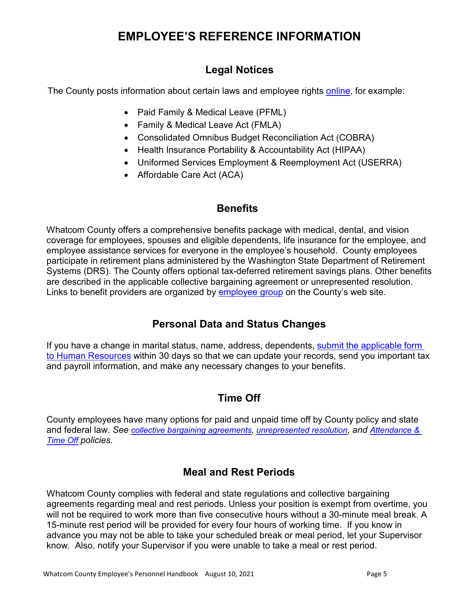#### **EMPLOYEE'S REFERENCE INFORMATION**

#### **Legal Notices**

The County posts information about certain laws and employee rights [online, for example:](https://www.whatcomcounty.us/1961/Legal-Notices)

- Paid Family & Medical Leave (PFML)
- Family & Medical Leave Act (FMLA)
- Consolidated Omnibus Budget Reconciliation Act (COBRA)
- Health Insurance Portability & Accountability Act (HIPAA)
- Uniformed Services Employment & Reemployment Act (USERRA)
- Affordable Care Act (ACA)

#### **Benefits**

Whatcom County offers a comprehensive benefits package with medical, dental, and vision coverage for employees, spouses and eligible dependents, life insurance for the employee, and employee assistance services for everyone in the employee's household. County employees participate in retirement plans administered by the Washington State Department of Retirement Systems (DRS). The County offers optional tax-deferred retirement savings plans. Other benefits are described in the applicable collective bargaining agreement or unrepresented resolution. Links to benefit providers are organized by [employee group](https://www.whatcomcounty.us/1668/Benefits-by-Group) on the County's web site.

#### **Personal Data and Status Changes**

If you have a change in marital status, name, address, dependents, [submit the applicable form](https://www.whatcomcounty.us/184/Employee-Status-Changes)  [to Human Resources](https://www.whatcomcounty.us/184/Employee-Status-Changes) within 30 days so that we can update your records, send you important tax and payroll information, and make any necessary changes to your benefits.

#### **Time Off**

County employees have many options for paid and unpaid time off by County policy and state and federal law. *See [collective bargaining agreements,](http://documents.whatcomcounty.us/weblink8/CustomSearch.aspx?SearchName=BargainingAgreements&dbid=0) [unrepresented resolution,](https://www.whatcomcounty.us/167/Employment-Resolutions) and [Attendance &](http://wa-whatcomcountyintranet.civicplus.com/222/Attendance-Time-Off)  [Time Off](http://wa-whatcomcountyintranet.civicplus.com/222/Attendance-Time-Off) policies.*

#### **Meal and Rest Periods**

Whatcom County complies with federal and state regulations and collective bargaining agreements regarding meal and rest periods. Unless your position is exempt from overtime, you will not be required to work more than five consecutive hours without a 30-minute meal break. A 15-minute rest period will be provided for every four hours of working time. If you know in advance you may not be able to take your scheduled break or meal period, let your Supervisor know. Also, notify your Supervisor if you were unable to take a meal or rest period.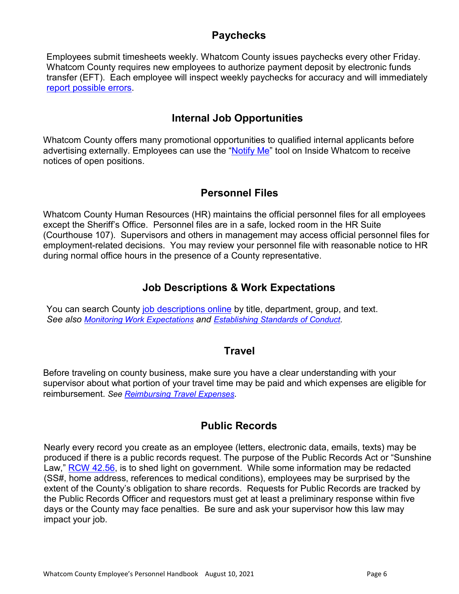#### **Paychecks**

Employees submit timesheets weekly. Whatcom County issues paychecks every other Friday. Whatcom County requires new employees to authorize payment deposit by electronic funds transfer (EFT). Each employee will inspect weekly paychecks for accuracy and will immediately [report possible errors.](http://wa-whatcomcountyintranet.civicplus.com/356/Overpayments-Underpayments---AD131501Z)

#### **Internal Job Opportunities**

Whatcom County offers many promotional opportunities to qualified internal applicants before advertising externally. Employees can use the ["Notify Me"](http://wa-whatcomcountyintranet.civicplus.com/list.aspx?Mode=Subscribe#newsFlash) tool on Inside Whatcom to receive notices of open positions.

#### **Personnel Files**

Whatcom County Human Resources (HR) maintains the official personnel files for all employees except the Sheriff's Office. Personnel files are in a safe, locked room in the HR Suite (Courthouse 107). Supervisors and others in management may access official personnel files for employment-related decisions. You may review your personnel file with reasonable notice to HR during normal office hours in the presence of a County representative.

#### **Job Descriptions & Work Expectations**

You can search County [job descriptions online](http://documents.whatcomcounty.us/WebLink8/CustomSearch.aspx?SearchName=JobDescriptions&&dbid=0) by title, department, group, and text. *See also [Monitoring Work Expectations](http://wa-whatcomcountyintranet.civicplus.com/251/Monitoring-Work-Expectations---AD141050Z) and [Establishing Standards of Conduct.](http://wa-whatcomcountyintranet.civicplus.com/1098/Establishing-Standards-of-Conduct)*

#### **Travel**

Before traveling on county business, make sure you have a clear understanding with your supervisor about what portion of your travel time may be paid and which expenses are eligible for reimbursement. *See [Reimbursing Travel Expenses.](http://wa-whatcomcountyintranet.civicplus.com/469/Reimbursing-Travel-Expenses--AD134001Z)*

#### **Public Records**

Nearly every record you create as an employee (letters, electronic data, emails, texts) may be produced if there is a public records request. The purpose of the Public Records Act or "Sunshine Law," [RCW 42.56,](https://app.leg.wa.gov/RCW/default.aspx?cite=42.56) is to shed light on government. While some information may be redacted (SS#, home address, references to medical conditions), employees may be surprised by the extent of the County's obligation to share records. Requests for Public Records are tracked by the Public Records Officer and requestors must get at least a preliminary response within five days or the County may face penalties. Be sure and ask your supervisor how this law may impact your job.